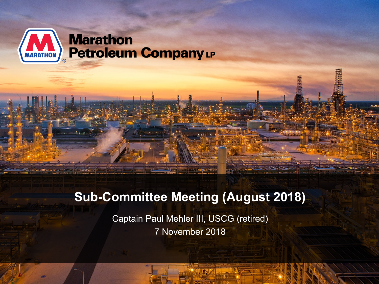

### **Sub-Committee Meeting (August 2018)**

Captain Paul Mehler III, USCG (retired) 7 November 2018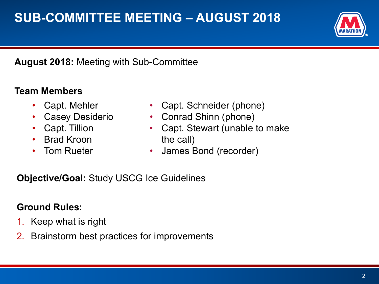## **SUB-COMMITTEE MEETING – AUGUST 2018**



### **August 2018:** Meeting with Sub-Committee

### **Team Members**

- Capt. Mehler
- Casey Desiderio
- Capt. Tillion
- Brad Kroon
- Tom Rueter
- Capt. Schneider (phone)
- Conrad Shinn (phone)
- Capt. Stewart (unable to make the call)
	- James Bond (recorder)

### **Objective/Goal:** Study USCG Ice Guidelines

### **Ground Rules:**

- 1. Keep what is right
- 2. Brainstorm best practices for improvements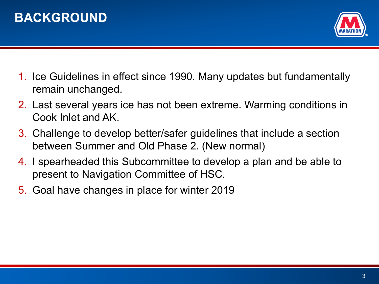



- 1. Ice Guidelines in effect since 1990. Many updates but fundamentally remain unchanged.
- 2. Last several years ice has not been extreme. Warming conditions in Cook Inlet and AK.
- 3. Challenge to develop better/safer guidelines that include a section between Summer and Old Phase 2. (New normal)
- 4. I spearheaded this Subcommittee to develop a plan and be able to present to Navigation Committee of HSC.
- 5. Goal have changes in place for winter 2019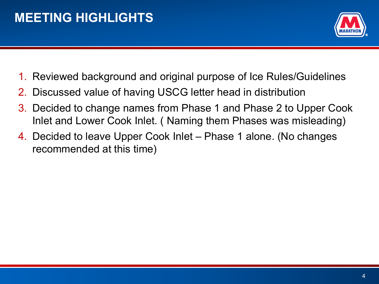

- 1. Reviewed background and original purpose of Ice Rules/Guidelines
- 2. Discussed value of having USCG letter head in distribution
- 3. Decided to change names from Phase 1 and Phase 2 to Upper Cook Inlet and Lower Cook Inlet. ( Naming them Phases was misleading)
- 4. Decided to leave Upper Cook Inlet Phase 1 alone. (No changes recommended at this time)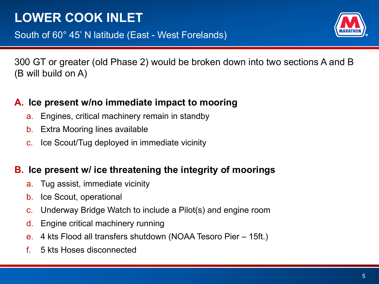# **LOWER COOK INLET**



300 GT or greater (old Phase 2) would be broken down into two sections A and B (B will build on A)

### **A. Ice present w/no immediate impact to mooring**

- a. Engines, critical machinery remain in standby
- b. Extra Mooring lines available
- c. Ice Scout/Tug deployed in immediate vicinity

### **B. Ice present w/ ice threatening the integrity of moorings**

- a. Tug assist, immediate vicinity
- b. Ice Scout, operational
- c. Underway Bridge Watch to include a Pilot(s) and engine room
- d. Engine critical machinery running
- e. 4 kts Flood all transfers shutdown (NOAA Tesoro Pier 15ft.)
- f. 5 kts Hoses disconnected